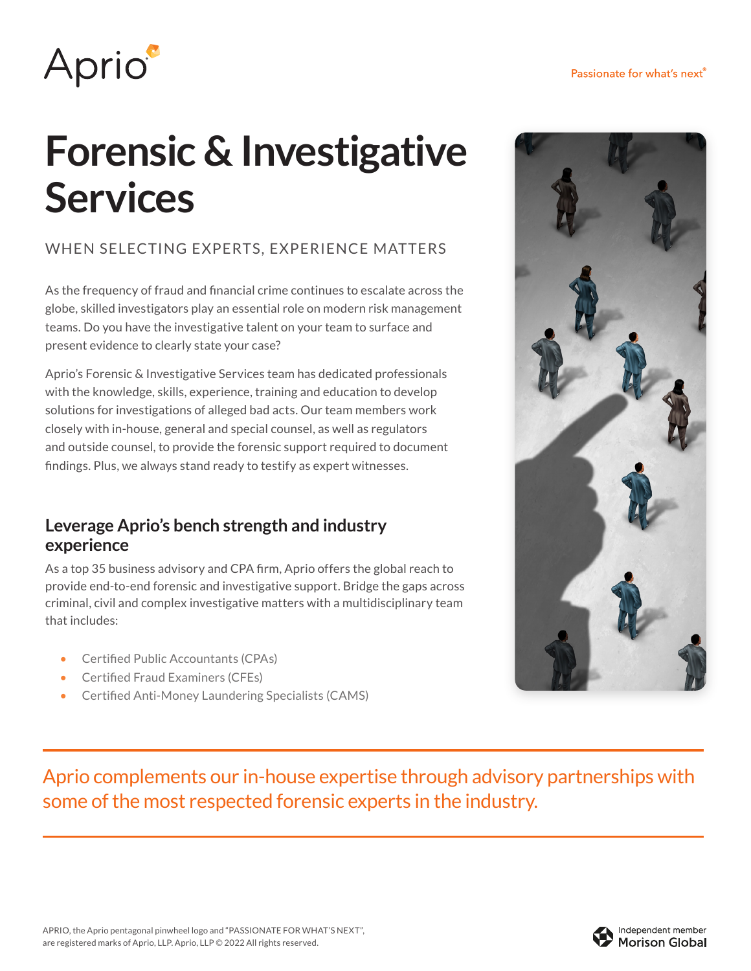

# **Forensic & Investigative Services**

### WHEN SELECTING EXPERTS, EXPERIENCE MATTERS

As the frequency of fraud and financial crime continues to escalate across the globe, skilled investigators play an essential role on modern risk management teams. Do you have the investigative talent on your team to surface and present evidence to clearly state your case?

Aprio's Forensic & Investigative Services team has dedicated professionals with the knowledge, skills, experience, training and education to develop solutions for investigations of alleged bad acts. Our team members work closely with in-house, general and special counsel, as well as regulators and outside counsel, to provide the forensic support required to document findings. Plus, we always stand ready to testify as expert witnesses.

#### **Leverage Aprio's bench strength and industry experience**

As a top 35 business advisory and CPA firm, Aprio offers the global reach to provide end-to-end forensic and investigative support. Bridge the gaps across criminal, civil and complex investigative matters with a multidisciplinary team that includes:

- Certified Public Accountants (CPAs)
- Certified Fraud Examiners (CFEs)
- Certified Anti-Money Laundering Specialists (CAMS)



Aprio complements our in-house expertise through advisory partnerships with some of the most respected forensic experts in the industry.